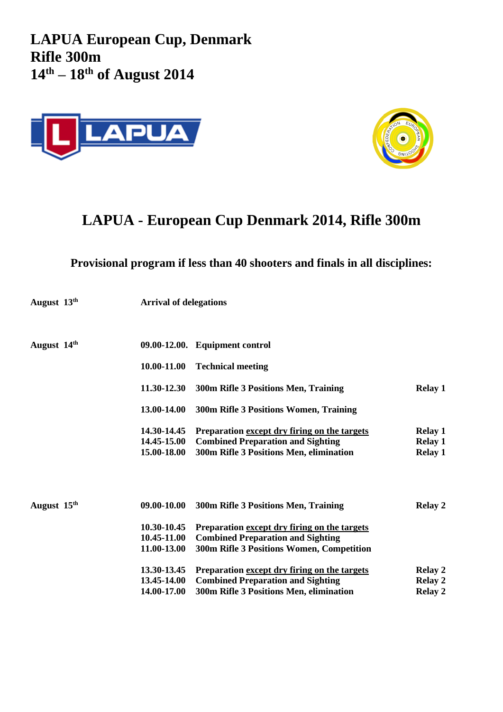**LAPUA European Cup, Denmark Rifle 300m 14th – 18 th of August 2014**





## **LAPUA - European Cup Denmark 2014, Rifle 300m**

## **Provisional program if less than 40 shooters and finals in all disciplines:**

| August 13 <sup>th</sup> | <b>Arrival of delegations</b> |                                                                                     |                                  |  |
|-------------------------|-------------------------------|-------------------------------------------------------------------------------------|----------------------------------|--|
| August 14 <sup>th</sup> |                               | 09.00-12.00. Equipment control                                                      |                                  |  |
|                         | 10.00-11.00                   | <b>Technical meeting</b>                                                            |                                  |  |
|                         | 11.30-12.30                   | 300m Rifle 3 Positions Men, Training                                                | <b>Relay 1</b>                   |  |
|                         | 13.00-14.00                   | 300m Rifle 3 Positions Women, Training                                              |                                  |  |
|                         | 14.30-14.45                   | Preparation except dry firing on the targets                                        | <b>Relay 1</b>                   |  |
|                         | 14.45-15.00<br>15.00-18.00    | <b>Combined Preparation and Sighting</b><br>300m Rifle 3 Positions Men, elimination | <b>Relay 1</b><br><b>Relay 1</b> |  |
|                         | 09.00-10.00                   |                                                                                     |                                  |  |
| August 15 <sup>th</sup> |                               | 300m Rifle 3 Positions Men, Training                                                | <b>Relay 2</b>                   |  |
|                         | 10.30-10.45                   | Preparation except dry firing on the targets                                        |                                  |  |
|                         | 10.45-11.00                   | <b>Combined Preparation and Sighting</b>                                            |                                  |  |
|                         | 11.00-13.00                   | 300m Rifle 3 Positions Women, Competition                                           |                                  |  |
|                         | 13.30-13.45                   | Preparation except dry firing on the targets                                        | <b>Relay 2</b>                   |  |
|                         | 13.45-14.00                   | <b>Combined Preparation and Sighting</b>                                            | <b>Relay 2</b>                   |  |
|                         | 14.00-17.00                   | 300m Rifle 3 Positions Men, elimination                                             | <b>Relay 2</b>                   |  |
|                         |                               |                                                                                     |                                  |  |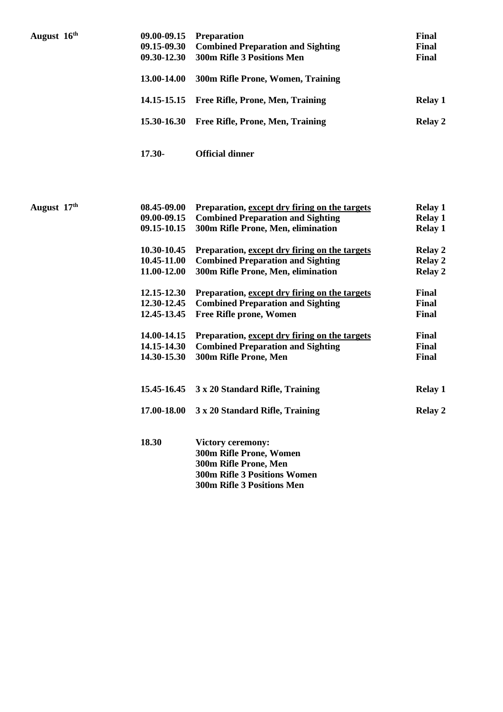| August 16th | 09.00-09.15<br>09.15-09.30 | Preparation<br><b>Combined Preparation and Sighting</b> | <b>Final</b><br>Final |
|-------------|----------------------------|---------------------------------------------------------|-----------------------|
|             | 09.30-12.30                | 300m Rifle 3 Positions Men                              | <b>Final</b>          |
|             | 13.00-14.00                | 300m Rifle Prone, Women, Training                       |                       |
|             | 14.15-15.15                | Free Rifle, Prone, Men, Training                        | <b>Relay 1</b>        |
|             | 15.30-16.30                | Free Rifle, Prone, Men, Training                        | <b>Relay 2</b>        |
|             | 17.30-                     | <b>Official dinner</b>                                  |                       |
|             |                            |                                                         |                       |
| August 17th | 08.45-09.00                | Preparation, except dry firing on the targets           | <b>Relay 1</b>        |
|             | 09.00-09.15                | <b>Combined Preparation and Sighting</b>                | <b>Relay 1</b>        |
|             | 09.15-10.15                | 300m Rifle Prone, Men, elimination                      | <b>Relay 1</b>        |
|             | 10.30-10.45                | Preparation, except dry firing on the targets           | <b>Relay 2</b>        |
|             | 10.45-11.00                | <b>Combined Preparation and Sighting</b>                | Relay 2               |
|             | 11.00-12.00                | 300m Rifle Prone, Men, elimination                      | <b>Relay 2</b>        |
|             | 12.15-12.30                | Preparation, except dry firing on the targets           | <b>Final</b>          |
|             | 12.30-12.45                | <b>Combined Preparation and Sighting</b>                | <b>Final</b>          |
|             | 12.45-13.45                | Free Rifle prone, Women                                 | <b>Final</b>          |
|             | 14.00-14.15                | Preparation, except dry firing on the targets           | Final                 |
|             | 14.15-14.30                | <b>Combined Preparation and Sighting</b>                | <b>Final</b>          |
|             | 14.30-15.30                | 300m Rifle Prone, Men                                   | <b>Final</b>          |
|             | 15.45-16.45                | 3 x 20 Standard Rifle, Training                         | <b>Relay 1</b>        |
|             |                            | 17.00-18.00 3 x 20 Standard Rifle, Training             | <b>Relay 2</b>        |
|             | 18.30                      | <b>Victory ceremony:</b>                                |                       |
|             |                            | 300m Rifle Prone, Women                                 |                       |
|             |                            | 300m Rifle Prone, Men                                   |                       |
|             |                            | <b>300m Rifle 3 Positions Women</b>                     |                       |
|             |                            | 300m Rifle 3 Positions Men                              |                       |